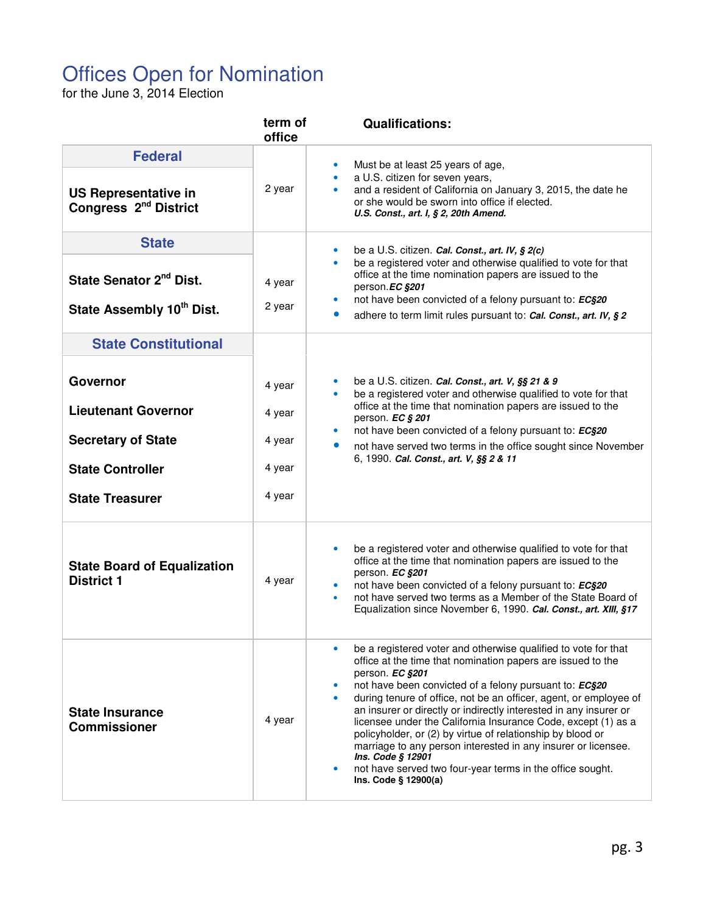## Offices Open for Nomination

for the June 3, 2014 Election

|                                                                                                                          | term of<br>office                              | <b>Qualifications:</b>                                                                                                                                                                                                                                                                                                                                                                                                                                                                                                                                                                                                                                                      |
|--------------------------------------------------------------------------------------------------------------------------|------------------------------------------------|-----------------------------------------------------------------------------------------------------------------------------------------------------------------------------------------------------------------------------------------------------------------------------------------------------------------------------------------------------------------------------------------------------------------------------------------------------------------------------------------------------------------------------------------------------------------------------------------------------------------------------------------------------------------------------|
| <b>Federal</b><br><b>US Representative in</b><br>Congress 2 <sup>nd</sup> District                                       | 2 year                                         | Must be at least 25 years of age,<br>a U.S. citizen for seven years,<br>and a resident of California on January 3, 2015, the date he<br>or she would be sworn into office if elected.<br>U.S. Const., art. I, § 2, 20th Amend.                                                                                                                                                                                                                                                                                                                                                                                                                                              |
| <b>State</b><br>State Senator 2 <sup>nd</sup> Dist.<br>State Assembly 10th Dist.                                         | 4 year<br>2 year                               | be a U.S. citizen. Cal. Const., art. IV, § 2(c)<br>be a registered voter and otherwise qualified to vote for that<br>٠<br>office at the time nomination papers are issued to the<br>person.EC §201<br>not have been convicted of a felony pursuant to: EC§20<br>adhere to term limit rules pursuant to: Cal. Const., art. IV, § 2                                                                                                                                                                                                                                                                                                                                           |
| <b>State Constitutional</b>                                                                                              |                                                |                                                                                                                                                                                                                                                                                                                                                                                                                                                                                                                                                                                                                                                                             |
| Governor<br><b>Lieutenant Governor</b><br><b>Secretary of State</b><br><b>State Controller</b><br><b>State Treasurer</b> | 4 year<br>4 year<br>4 year<br>4 year<br>4 year | be a U.S. citizen. Cal. Const., art. V, §§ 21 & 9<br>be a registered voter and otherwise qualified to vote for that<br>office at the time that nomination papers are issued to the<br>person. EC § 201<br>not have been convicted of a felony pursuant to: EC§20<br>not have served two terms in the office sought since November<br>$\bullet$<br>6, 1990. Cal. Const., art. V, §§ 2 & 11                                                                                                                                                                                                                                                                                   |
| <b>State Board of Equalization</b><br><b>District 1</b>                                                                  | 4 year                                         | be a registered voter and otherwise qualified to vote for that<br>office at the time that nomination papers are issued to the<br>person. EC §201<br>not have been convicted of a felony pursuant to: EC§20<br>not have served two terms as a Member of the State Board of<br>Equalization since November 6, 1990. Cal. Const., art. XIII, §17                                                                                                                                                                                                                                                                                                                               |
| <b>State Insurance</b><br><b>Commissioner</b>                                                                            | 4 year                                         | be a registered voter and otherwise qualified to vote for that<br>$\bullet$<br>office at the time that nomination papers are issued to the<br>person. EC §201<br>not have been convicted of a felony pursuant to: EC§20<br>during tenure of office, not be an officer, agent, or employee of<br>an insurer or directly or indirectly interested in any insurer or<br>licensee under the California Insurance Code, except (1) as a<br>policyholder, or (2) by virtue of relationship by blood or<br>marriage to any person interested in any insurer or licensee.<br>Ins. Code § 12901<br>not have served two four-year terms in the office sought.<br>Ins. Code § 12900(a) |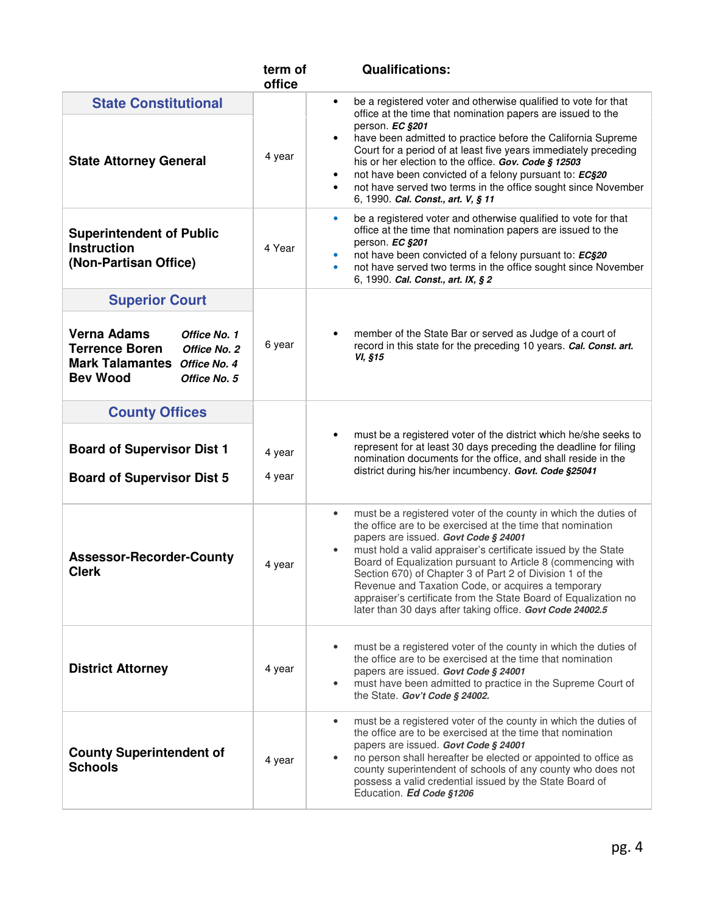|                                                                                                                                                                         | term of<br>office | <b>Qualifications:</b>                                                                                                                                                                                                                                                                                                                                                                                                                                                                                                                                                |
|-------------------------------------------------------------------------------------------------------------------------------------------------------------------------|-------------------|-----------------------------------------------------------------------------------------------------------------------------------------------------------------------------------------------------------------------------------------------------------------------------------------------------------------------------------------------------------------------------------------------------------------------------------------------------------------------------------------------------------------------------------------------------------------------|
| <b>State Constitutional</b><br><b>State Attorney General</b>                                                                                                            | 4 year            | be a registered voter and otherwise qualified to vote for that<br>office at the time that nomination papers are issued to the<br>person. EC §201<br>have been admitted to practice before the California Supreme<br>Court for a period of at least five years immediately preceding<br>his or her election to the office. Gov. Code § 12503<br>not have been convicted of a felony pursuant to: EC§20<br>not have served two terms in the office sought since November<br>$\bullet$<br>6, 1990. Cal. Const., art. V, § 11                                             |
| <b>Superintendent of Public</b><br><b>Instruction</b><br>(Non-Partisan Office)                                                                                          | 4 Year            | be a registered voter and otherwise qualified to vote for that<br>$\bullet$<br>office at the time that nomination papers are issued to the<br>person. EC §201<br>not have been convicted of a felony pursuant to: EC§20<br>not have served two terms in the office sought since November<br>$\bullet$<br>6, 1990. Cal. Const., art. IX, § 2                                                                                                                                                                                                                           |
| <b>Superior Court</b><br><b>Verna Adams</b><br>Office No. 1<br><b>Terrence Boren</b><br>Office No. 2<br>Mark Talamantes Office No. 4<br><b>Bev Wood</b><br>Office No. 5 | 6 year            | member of the State Bar or served as Judge of a court of<br>record in this state for the preceding 10 years. Cal. Const. art.<br>VI, §15                                                                                                                                                                                                                                                                                                                                                                                                                              |
| <b>County Offices</b><br><b>Board of Supervisor Dist 1</b><br><b>Board of Supervisor Dist 5</b>                                                                         | 4 year<br>4 year  | must be a registered voter of the district which he/she seeks to<br>represent for at least 30 days preceding the deadline for filing<br>nomination documents for the office, and shall reside in the<br>district during his/her incumbency. Govt. Code §25041                                                                                                                                                                                                                                                                                                         |
| <b>Assessor-Recorder-County</b><br><b>Clerk</b>                                                                                                                         | 4 year            | must be a registered voter of the county in which the duties of<br>$\bullet$<br>the office are to be exercised at the time that nomination<br>papers are issued. Govt Code § 24001<br>must hold a valid appraiser's certificate issued by the State<br>Board of Equalization pursuant to Article 8 (commencing with<br>Section 670) of Chapter 3 of Part 2 of Division 1 of the<br>Revenue and Taxation Code, or acquires a temporary<br>appraiser's certificate from the State Board of Equalization no<br>later than 30 days after taking office. Govt Code 24002.5 |
| <b>District Attorney</b>                                                                                                                                                | 4 year            | must be a registered voter of the county in which the duties of<br>the office are to be exercised at the time that nomination<br>papers are issued. Govt Code § 24001<br>must have been admitted to practice in the Supreme Court of<br>the State. Gov't Code § 24002.                                                                                                                                                                                                                                                                                                |
| <b>County Superintendent of</b><br><b>Schools</b>                                                                                                                       | 4 year            | must be a registered voter of the county in which the duties of<br>٠<br>the office are to be exercised at the time that nomination<br>papers are issued. Govt Code § 24001<br>no person shall hereafter be elected or appointed to office as<br>county superintendent of schools of any county who does not<br>possess a valid credential issued by the State Board of<br>Education. Ed Code §1206                                                                                                                                                                    |